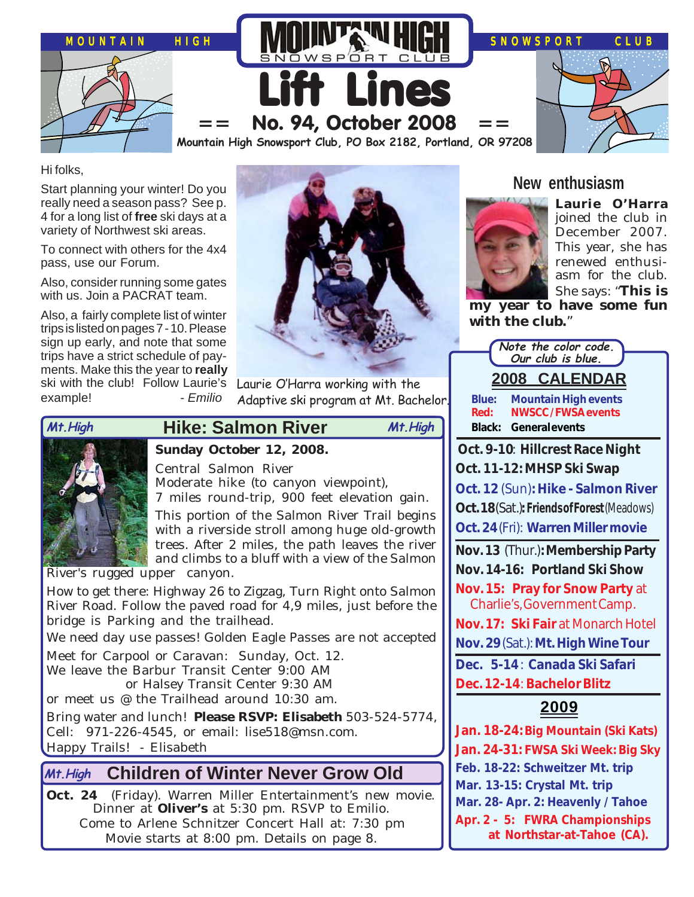

Hi folks,

Start planning your winter! Do you really need a season pass? See p. 4 for a long list of **free** ski days at a variety of Northwest ski areas.

To connect with others for the 4x4 pass, use our Forum.

Also, consider running some gates with us. Join a PACRAT team.

Also, a fairly complete list of winter trips is listed on pages 7 - 10. Please sign up early, and note that some trips have a strict schedule of payments. Make this the year to **really** ski with the club! Follow Laurie's example! *- Emilio*



Laurie O'Harra working with the Adaptive ski program at Mt. Bachelor.



# **Hike: Salmon River Mt.High Mt.High**

### **Sunday October 12, 2008.**

Central Salmon River

Moderate hike (to canyon viewpoint),

7 miles round-trip, 900 feet elevation gain. This portion of the Salmon River Trail begins with a riverside stroll among huge old-growth trees. After 2 miles, the path leaves the river and climbs to a bluff with a view of the Salmon

River's rugged upper canyon.

How to get there: Highway 26 to Zigzag, Turn Right onto Salmon River Road. Follow the paved road for 4,9 miles, just before the bridge is Parking and the trailhead.

We need day use passes! Golden Eagle Passes are not accepted

Meet for Carpool or Caravan: Sunday, Oct. 12. We leave the Barbur Transit Center 9:00 AM

or Halsey Transit Center 9:30 AM

or meet us @ the Trailhead around 10:30 am.

Bring water and lunch! **Please RSVP: Elisabeth** 503-524-5774, Cell: 971-226-4545, or email: lise518@msn.com. Happy Trails! - Elisabeth

### **Children of Winter Never Grow Old Mt.High**

**Oct. 24** (Friday). Warren Miller Entertainment's new movie. Dinner at **Oliver's** at 5:30 pm. RSVP to Emilio. Come to Arlene Schnitzer Concert Hall at: 7:30 pm Movie starts at 8:00 pm. Details on page 8.

## **New enthusiasm**



**Laurie O'Harra** joined the club in December 2007. This year, she has renewed enthusiasm for the club. She says: "**This is**

**my year to have some fun with the club.**"

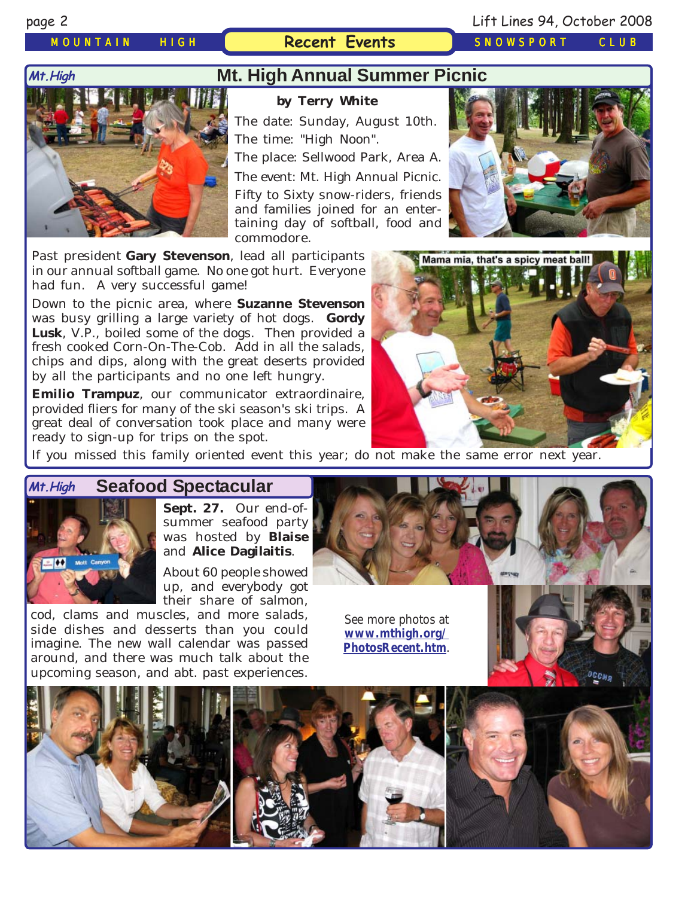*MOUNTAIN HIGH* **Recent Events** *SNOWSPORT CLUB*

### **Mt.High**



## **Mt. High Annual Summer Picnic**

### **by Terry White**

The date: Sunday, August 10th. The time: "High Noon".

The place: Sellwood Park, Area A.

The event: Mt. High Annual Picnic.

Fifty to Sixty snow-riders, friends and families joined for an entertaining day of softball, food and commodore.

Past president **Gary Stevenson**, lead all participants in our annual softball game. No one got hurt. Everyone had fun. A very successful game!

Down to the picnic area, where **Suzanne Stevenson** was busy grilling a large variety of hot dogs. **Gordy Lusk**, V.P., boiled some of the dogs. Then provided a fresh cooked Corn-On-The-Cob. Add in all the salads, chips and dips, along with the great deserts provided by all the participants and no one left hungry.

**Emilio Trampuz**, our communicator extraordinaire, provided fliers for many of the ski season's ski trips. A great deal of conversation took place and many were ready to sign-up for trips on the spot.





If you missed this family oriented event this year; do not make the same error next year.

# **Seafood Spectacular**



**Sept. 27.** Our end-ofsummer seafood party was hosted by **Blaise** and **Alice Dagilaitis**.

About 60 people showed up, and everybody got their share of salmon,

cod, clams and muscles, and more salads, side dishes and desserts than you could imagine. The new wall calendar was passed around, and there was much talk about the upcoming season, and abt. past experiences.

See more photos at **[www.mthigh.org/](http://www.mthigh.org/PhotosRecent.htm) [PhotosRecent.htm](http://www.mthigh.org/PhotosRecent.htm)**.



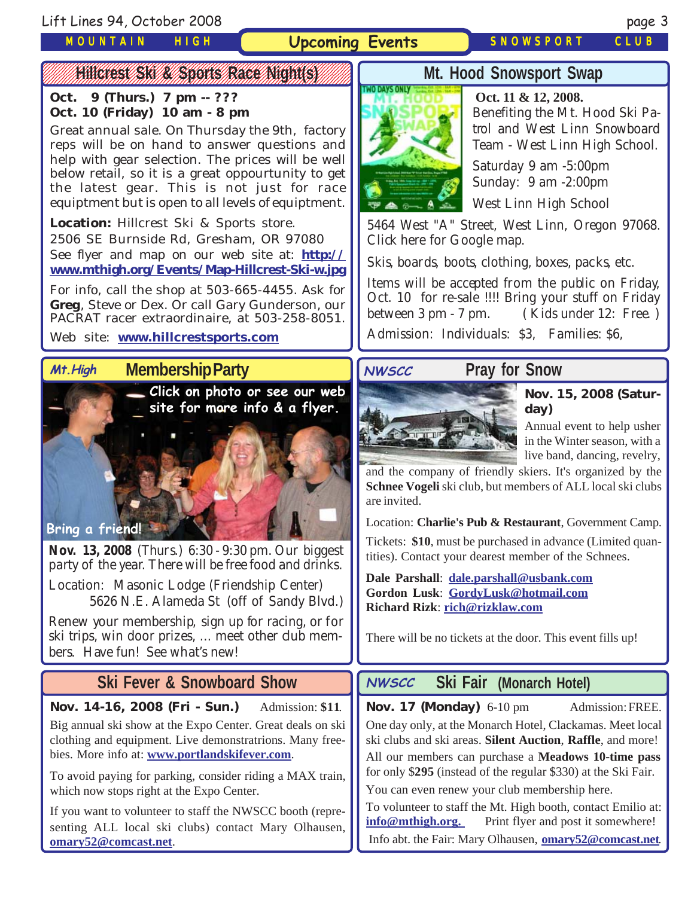Lift Lines 94, October 2008 page 3

*MOUNTAIN HIGH*

**Upcoming Events** *SNOWSPORT CLUB*

### 12345678901234567890123456789012123456789012345678901234567890121234567890123456789012345678 WWW. BANCRESS / SAV / SPORTS / RACE / ANGHAIS ///////

**Oct. 9 (Thurs.) 7 pm -- ??? Oct. 10 (Friday) 10 am - 8 pm**

Great annual sale. On Thursday the 9th, factory reps will be on hand to answer questions and help with gear selection. The prices will be well below retail, so it is a great oppourtunity to get the latest gear. This is not just for race equiptment but is open to all levels of equiptment.

**Location:** Hillcrest Ski & Sports store. 2506 SE Burnside Rd, Gresham, OR 97080 See flyer and map on our web site at: **[http://](http://www.mthigh.org/Events/Map-Hillcrest-Ski-w.jpg) [www.mthigh.org/Events/Map-Hillcrest-Ski-w.jpg](http://www.mthigh.org/Events/Map-Hillcrest-Ski-w.jpg)**

For info, call the shop at 503-665-4455. Ask for **Greg**, Steve or Dex. Or call Gary Gunderson, our PACRAT racer extraordinaire, at 503-258-8051.

### Web site: **[www.hillcrestsports.com](http://www.hillcrestsports.com/)**

### **Membership Party Mt.High**



**Nov. 13, 2008** (Thurs.) 6:30 - 9:30 pm. Our biggest party of the year. There will be free food and drinks.

Location: Masonic Lodge (Friendship Center) 5626 N.E. Alameda St (off of Sandy Blvd.)

Renew your membership, sign up for racing, or for ski trips, win door prizes, ... meet other club members. Have fun! See what's new!

# **Ski Fever & Snowboard Show**

**Nov. 14-16, 2008 (Fri - Sun.)** Admission: **\$11**.

Big annual ski show at the Expo Center. Great deals on ski clothing and equipment. Live demonstratrions. Many freebies. More info at: **[www.portlandskifever.com](http:/www.portlandskifever.com/)**.

To avoid paying for parking, consider riding a MAX train, which now stops right at the Expo Center.

If you want to volunteer to staff the NWSCC booth (representing ALL local ski clubs) contact Mary Olhausen, **[omary52@comcast.net](mailto:omary52@comcast.net)**.

# **Mt. Hood Snowsport Swap**



 **Oct. 11 & 12, 2008.** Benefiting the Mt. Hood Ski Patrol and West Linn Snowboard Team - West Linn High School.

Saturday 9 am -5:00pm Sunday: 9 am -2:00pm

West Linn High School

5464 West "A" Street, West Linn, Oregon 97068. Click here for Google map.

Skis, boards, boots, clothing, boxes, packs, etc.

Items will be accepted from the public on Friday, Oct. 10 for re-sale !!!! Bring your stuff on Friday between 3 pm - 7 pm. ( Kids under 12: Free. ) Admission: Individuals: \$3, Families: \$6,



**Nov. 15, 2008 (Saturday)**

Annual event to help usher in the Winter season, with a live band, dancing, revelry,

and the company of friendly skiers. It's organized by the **Schnee Vogeli** ski club, but members of ALL local ski clubs are invited.

Location: **Charlie's Pub & Restaurant**, Government Camp.

Tickets: **\$10**, must be purchased in advance (Limited quantities). Contact your dearest member of the Schnees.

**Dale Parshall**: **[dale.parshall@usbank.com](mailto:dale.parshall@usbank.com) Gordon Lusk**: **[GordyLusk@hotmail.com](mailto:gordylusk@hotmail.com) Richard Rizk**: **[rich@rizklaw.com](mailto:rich@rizklaw.com.)**

There will be no tickets at the door. This event fills up!

### **Ski Fair (Monarch Hotel) NWSCC**

Nov. 17 (Monday) 6-10 pm Admission: FREE.

One day only, at the Monarch Hotel, Clackamas. Meet local ski clubs and ski areas. **Silent Auction**, **Raffle**, and more! All our members can purchase a **Meadows 10-time pass** for only \$**295** (instead of the regular \$330) at the Ski Fair.

You can even renew your club membership here.

To volunteer to staff the Mt. High booth, contact Emilio at: **i[nfo@mthigh.org.](mailto:info@mthigh.org)** Print flyer and post it somewhere! Info abt. the Fair: Mary Olhausen, **[omary52@comcast.net](mailto:omary52@comcast.net)**.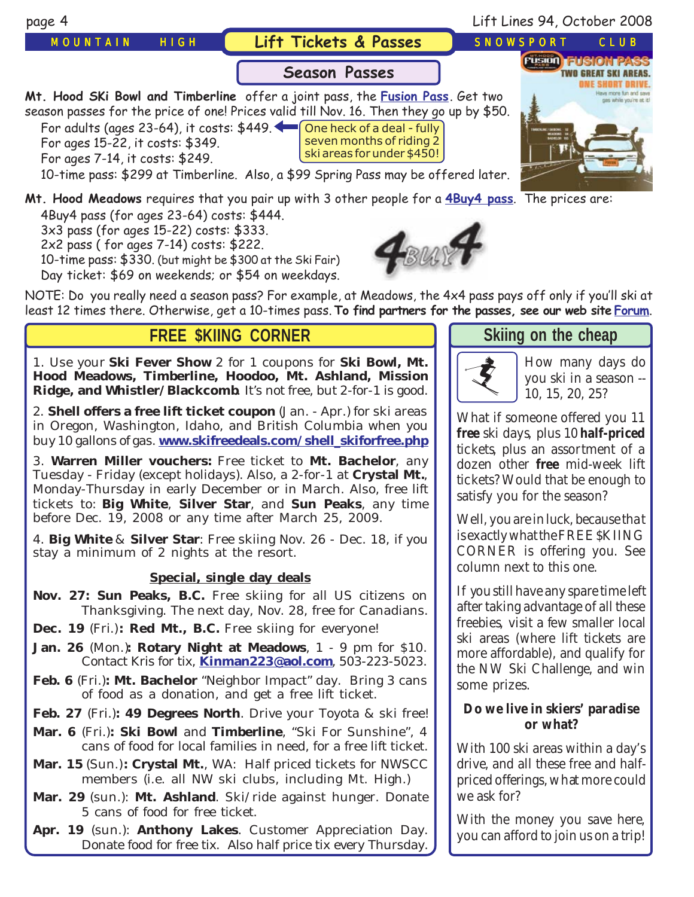

3x3 pass (for ages 15-22) costs: \$333. 2x2 pass ( for ages 7-14) costs: \$222. 10-time pass: \$330. (but might be \$300 at the Ski Fair) Day ticket: \$69 on weekends; or \$54 on weekdays.



NOTE: Do you really need a season pass? For example, at Meadows, the 4x4 pass pays off only if you'll ski at least 12 times there. Otherwise, get a 10-times pass. **To find partners for the passes, see our web site [Forum](http://groups.google.com/group/MtHigh?hl=en)**.

## **FREE \$KIING CORNER**

1. Use your **Ski Fever Show** 2 for 1 coupons for **Ski Bowl, Mt. Hood Meadows, Timberline, Hoodoo, Mt. Ashland, Mission Ridge, and Whistler/Blackcomb**. It's not free, but 2-for-1 is good.

2. **Shell offers a free lift ticket coupon** (Jan. - Apr.) for ski areas in Oregon, Washington, Idaho, and British Columbia when you buy 10 gallons of gas. **[www.skifreedeals.com/shell\\_skiforfree.php](http://www.skifreedeals.com/shell_skiforfree.php)**

3. **Warren Miller vouchers:** Free ticket to **Mt. Bachelor**, any Tuesday - Friday (except holidays). Also, a 2-for-1 at **Crystal Mt.**, Monday-Thursday in early December or in March. Also, free lift tickets to: **Big White**, **Silver Star**, and **Sun Peaks**, any time before Dec. 19, 2008 or any time after March 25, 2009.

4. **Big White** & **Silver Star**: Free skiing Nov. 26 - Dec. 18, if you stay a minimum of 2 nights at the resort.

### **Special, single day deals**

- **Nov. 27: Sun Peaks, B.C.** Free skiing for all US citizens on Thanksgiving. The next day, Nov. 28, free for Canadians.
- **Dec. 19** (Fri.)**: Red Mt., B.C.** Free skiing for everyone!
- **Jan. 26** (Mon.)**: Rotary Night at Meadows**, 1 9 pm for \$10. Contact Kris for tix, **[Kinman223@aol.com](mailto:Kinman223@aol.com)**, 503-223-5023.
- **Feb. 6** (Fri.)**: Mt. Bachelor** "Neighbor Impact" day. Bring 3 cans of food as a donation, and get a free lift ticket.
- **Feb. 27** (Fri.)**: 49 Degrees North**. Drive your Toyota & ski free!
- **Mar. 6** (Fri.)**: Ski Bowl** and **Timberline**, "Ski For Sunshine", 4 cans of food for local families in need, for a free lift ticket.
- **Mar. 15** (Sun.)**: Crystal Mt.**, WA: Half priced tickets for NWSCC members (i.e. all NW ski clubs, including Mt. High.)
- **Mar. 29** (sun.): **Mt. Ashland**. Ski/ride against hunger. Donate 5 cans of food for free ticket.

**Apr. 19** (sun.): **Anthony Lakes**. Customer Appreciation Day. Donate food for free tix. Also half price tix every Thursday.

## **Skiing on the chea[p](http://beavercreek.snow.com/winterhome.asp)**



[How many days do](http://beavercreek.snow.com/winterhome.asp) you ski in a season -- [10, 15, 20, 25?](http://beavercreek.snow.com/winterhome.asp) 

What if someone offered you 11 **free** ski days, plus 10 **half-priced** tickets, plus an assortment of a dozen other **free** mid-week lift tickets? Would that be enough to satisfy you for the season?

Well, you are in luck, because that is exactly what the FREE \$KIING CORNER is offering you. See column next to this one.

If you still have any spare time left after taking advantage of all these freebies, visit a few smaller local ski areas (where lift tickets are more affordable), and qualify for the NW Ski Challenge, and win some prizes.

### **Do we live in skiers' paradise or what?**

With 100 ski areas within a day's drive, and all these free and halfpriced offerings, what more could we ask for?

With the money you save here, you can afford to join us on a trip!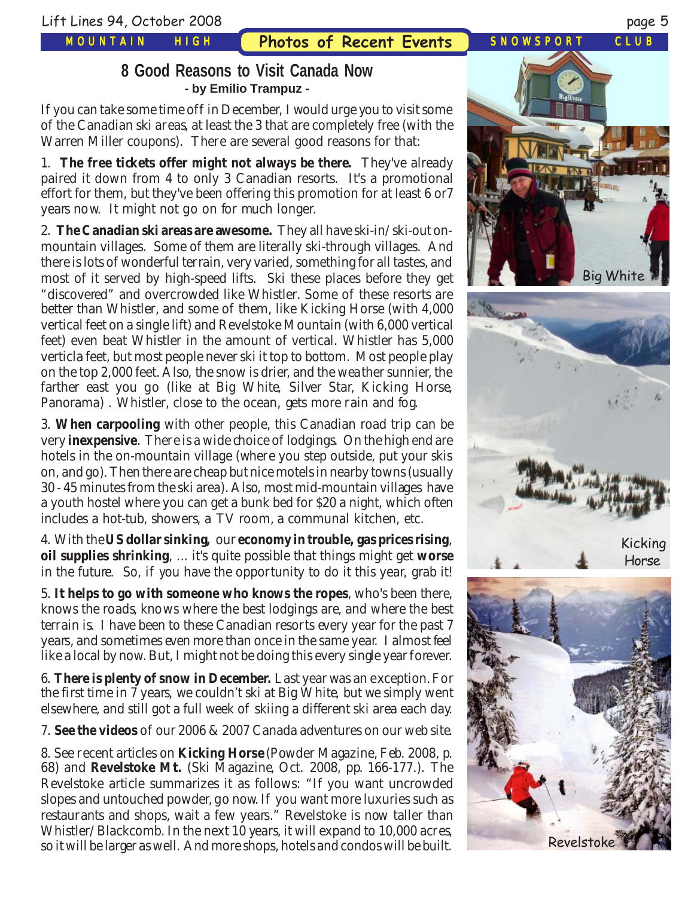*MOUNTAIN HIGH*

**Photos of Recent Events** *SNOWSPORT CLUB*

# **8 Good Reasons to Visit Canada Now - by Emilio Trampuz -**

If you can take some time off in December, I would urge you to visit some of the Canadian ski areas, at least the 3 that are completely free (with the Warren Miller coupons). There are several good reasons for that:

1. **The free tickets offer might not always be there.** They've already paired it down from 4 to only 3 Canadian resorts. It's a promotional effort for them, but they've been offering this promotion for at least 6 or7 years now. It might not go on for much longer.

2. **The Canadian ski areas are awesome.** They all have ski-in/ski-out onmountain villages. Some of them are literally ski-through villages. And there is lots of wonderful terrain, very varied, something for all tastes, and most of it served by high-speed lifts. Ski these places before they get "discovered" and overcrowded like Whistler. Some of these resorts are better than Whistler, and some of them, like Kicking Horse (with 4,000 vertical feet on a single lift) and Revelstoke Mountain (with 6,000 vertical feet) even beat Whistler in the amount of vertical. Whistler has 5,000 verticla feet, but most people never ski it top to bottom. Most people play on the top 2,000 feet. Also, the snow is drier, and the weather sunnier, the farther east you go (like at Big White, Silver Star, Kicking Horse, Panorama) . Whistler, close to the ocean, gets more rain and fog.

3. **When carpooling** with other people, this Canadian road trip can be very **inexpensive**. There is a wide choice of lodgings. On the high end are hotels in the on-mountain village (where you step outside, put your skis on, and go). Then there are cheap but nice motels in nearby towns (usually 30 - 45 minutes from the ski area). Also, most mid-mountain villages have a youth hostel where you can get a bunk bed for \$20 a night, which often includes a hot-tub, showers, a TV room, a communal kitchen, etc.

4. With the **US dollar sinking,** our **economy in trouble, gas prices rising**, **oil supplies shrinking**, ... it's quite possible that things might get **worse** in the future. So, if you have the opportunity to do it this year, grab it!

5. **It helps to go with someone who knows the ropes**, who's been there, knows the roads, knows where the best lodgings are, and where the best terrain is. I have been to these Canadian resorts every year for the past 7 years, and sometimes even more than once in the same year. I almost feel like a local by now. But, I might not be doing this every single year forever.

6. **There is plenty of snow in December.** Last year was an exception. For the first time in 7 years, we couldn't ski at Big White, but we simply went elsewhere, and still got a full week of skiing a different ski area each day.

7. **See the videos** of our 2006 & 2007 Canada adventures on our web site.

8. See recent articles on **Kicking Horse** (Powder Magazine, Feb. 2008, p. 68) and **Revelstoke Mt.** (Ski Magazine, Oct. 2008, pp. 166-177.). The Revelstoke article summarizes it as follows: "If you want uncrowded slopes and untouched powder, go now. If you want more luxuries such as restaurants and shops, wait a few years." Revelstoke is now taller than Whistler/Blackcomb. In the next 10 years, it will expand to 10,000 acres, so it will be larger as well. And more shops, hotels and condos will be built.

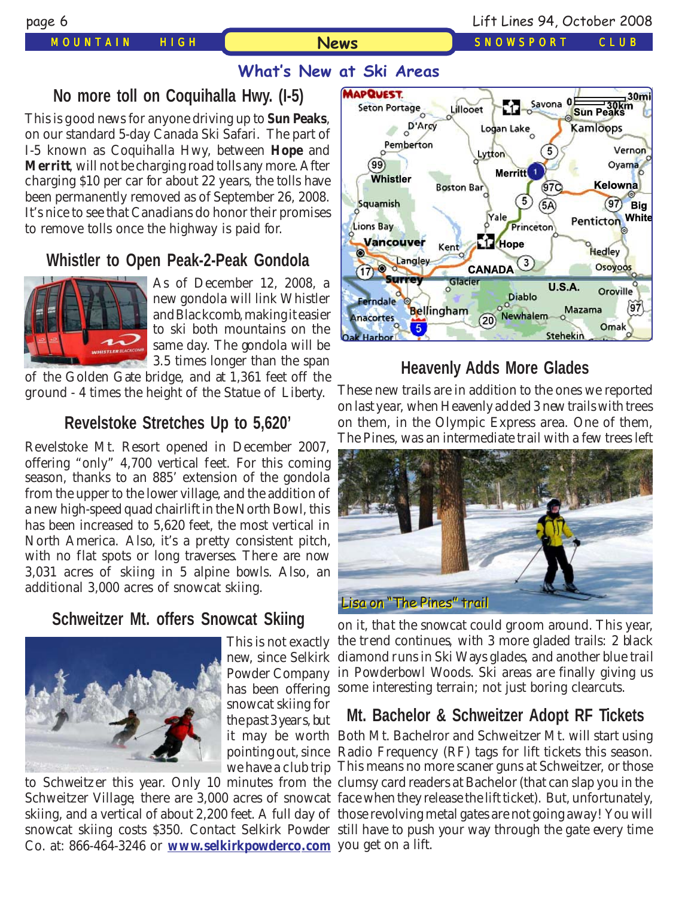### *MOUNTAIN HIGH SNOWSPORT CLUB*

# **News**

# **What's New at Ski Areas**

# **No more toll on Coquihalla Hwy. (I-5)**

This is good news for anyone driving up to **Sun Peaks**, on our standard 5-day Canada Ski Safari. The part of I-5 known as Coquihalla Hwy, between **Hope** and **Merritt**, will not be charging road tolls any more. After charging \$10 per car for about 22 years, the tolls have been permanently removed as of September 26, 2008. It's nice to see that Canadians do honor their promises to remove tolls once the highway is paid for.

# **Whistler to Open Peak-2-Peak Gondola**



As of December 12, 2008, a new gondola will link Whistler and Blackcomb, making it easier to ski both mountains on the same day. The gondola will be 3.5 times longer than the span

of the Golden Gate bridge, and at 1,361 feet off the ground - 4 times the height of the Statue of Liberty.

## **Revelstoke Stretches Up to 5,620'**

Revelstoke Mt. Resort opened in December 2007, offering "only" 4,700 vertical feet. For this coming season, thanks to an 885' extension of the gondola from the upper to the lower village, and the addition of a new high-speed quad chairlift in the North Bowl, this has been increased to 5,620 feet, the most vertical in North America. Also, it's a pretty consistent pitch, with no flat spots or long traverses. There are now 3,031 acres of skiing in 5 alpine bowls. Also, an additional 3,000 acres of snowcat skiing.

# **Schweitzer Mt. offers Snowcat Skiing**



This is not exactly Powder Company snowcat skiing for the past 3 years, but

Co. at: 866-464-3246 or **[www.selkirkpowderco.com](http://www.selkirkpowderco.com/)** you get on a lift.



# **Heavenly Adds More Glades**

These new trails are in addition to the ones we reported on last year, when Heavenly added 3 new trails with trees on them, in the Olympic Express area. One of them, The Pines, was an intermediate trail with a few trees left



new, since Selkirk diamond runs in Ski Ways glades, and another blue trail has been offering some interesting terrain; not just boring clearcuts. on it, that the snowcat could groom around. This year, the trend continues, with 3 more gladed trails: 2 black in Powderbowl Woods. Ski areas are finally giving us

# **Mt. Bachelor & Schweitzer Adopt RF Tickets**

it may be worth Both Mt. Bachelror and Schweitzer Mt. will start using pointing out, since Radio Frequency (RF) tags for lift tickets this season. we have a club trip This means no more scaner guns at Schweitzer, or those to Schweitzer this year. Only 10 minutes from the clumsy card readers at Bachelor (that can slap you in the Schweitzer Village, there are 3,000 acres of snowcat face when they release the lift ticket). But, unfortunately, skiing, and a vertical of about 2,200 feet. A full day of those revolving metal gates are not going away! You will snowcat skiing costs \$350. Contact Selkirk Powder still have to push your way through the gate every time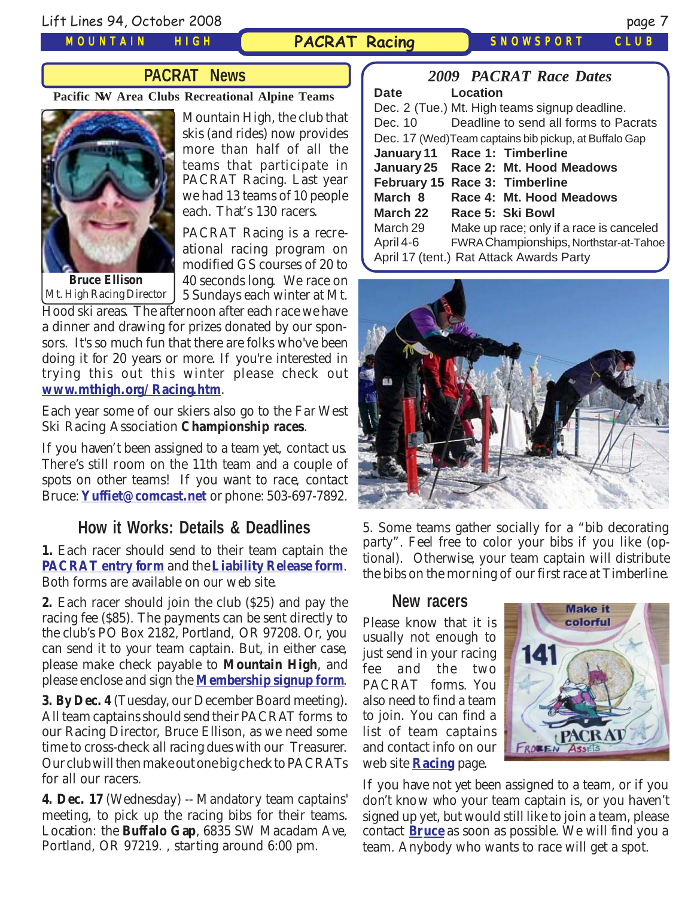Lift Lines 94, October 2008 page 7

*MOUNTAIN HIGH*

## **PACRAT Racing** *SNOWSPORT CLUB*

# **PACRAT News**

**Pacific NW Area Clubs Recreational Alpine Teams**



Mt. High Racing Director

Mountain High, the club that skis (and rides) now provides more than half of all the teams that participate in PACRAT Racing. Last year we had 13 teams of 10 people each. That's 130 racers.

PACRAT Racing is a recreational racing program on modified GS courses of 20 to 40 seconds long. We race on 5 Sundays each winter at Mt.

Hood ski areas. The afternoon after each race we have a dinner and drawing for prizes donated by our sponsors. It's so much fun that there are folks who've been doing it for 20 years or more. If you're interested in trying this out this winter please check out **[www.mthigh.org/Racing.htm](http://www.mthigh.org/Racing.htm)**.

Each year some of our skiers also go to the Far West Ski Racing Association **Championship races**.

If you haven't been assigned to a team yet, contact us. There's still room on the 11th team and a couple of spots on other teams! If you want to race, contact Bruce: **[Yuffiet@comcast.net](mailto:Yuffiet@comcast.net)** or phone: 503-697-7892.

## **How it Works: Details & Deadlines**

**1.** Each racer should send to their team captain the **[PACRAT entry form](http://www.mthigh.org/Racing/PACRAT-Entry-Form.pdf)** and the **[Liability Release form](http://www.mthigh.org/Racing/PACRAT-Release.pdf)**. Both forms are available on our web site.

**2.** Each racer should join the club (\$25) and pay the racing fee (\$85). The payments can be sent directly to the club's PO Box 2182, Portland, OR 97208. Or, you can send it to your team captain. But, in either case, please make check payable to **Mountain High**, and please enclose and sign the **[Membership signup form](http://www.mthigh.org/Documents/MembershipSignupForm.pdf)**.

**3. By Dec. 4** (Tuesday, our December Board meeting). All team captains should send their PACRAT forms to our Racing Director, Bruce Ellison, as we need some time to cross-check all racing dues with our Treasurer. Our club will then make out one big check to PACRATs for all our racers.

**4. Dec. 17** (Wednesday) -- Mandatory team captains' meeting, to pick up the racing bibs for their teams. Location: the **Buffalo Gap**, 6835 SW Macadam Ave, Portland, OR 97219. , starting around 6:00 pm.

|           | <b>2009 PACRAT Race Dates</b>                          |
|-----------|--------------------------------------------------------|
| Date      | Location                                               |
|           | Dec. 2 (Tue.) Mt. High teams signup deadline.          |
| Dec. 10   | Deadline to send all forms to Pacrats                  |
|           | Dec. 17 (Wed) Team captains bib pickup, at Buffalo Gap |
|           | January 11 Race 1: Timberline                          |
|           | January 25 Race 2: Mt. Hood Meadows                    |
|           | February 15 Race 3: Timberline                         |
| March 8   | Race 4: Mt. Hood Meadows                               |
| March 22  | Race 5: Ski Bowl                                       |
| March 29  | Make up race; only if a race is canceled               |
| April 4-6 | FWRA Championships, Northstar-at-Tahoe                 |
|           | April 17 (tent.) Rat Attack Awards Party               |



5. Some teams gather socially for a "bib decorating party". Feel free to color your bibs if you like (optional). Otherwise, your team captain will distribute the bibs on the morning of our first race at Timberline.

### **New racers**

Please know that it is usually not enough to just send in your racing fee and the two PACRAT forms. You also need to find a team to join. You can find a list of team captains and contact info on our web site **[Racing](http://www.mthigh.org/Racing.htm)** page.



If you have not yet been assigned to a team, or if you don't know who your team captain is, or you haven't signed up yet, but would still like to join a team, please contact **[Bruce](mailto:Yuffiet@comcast.net)** as soon as possible. We will find you a team. Anybody who wants to race will get a spot.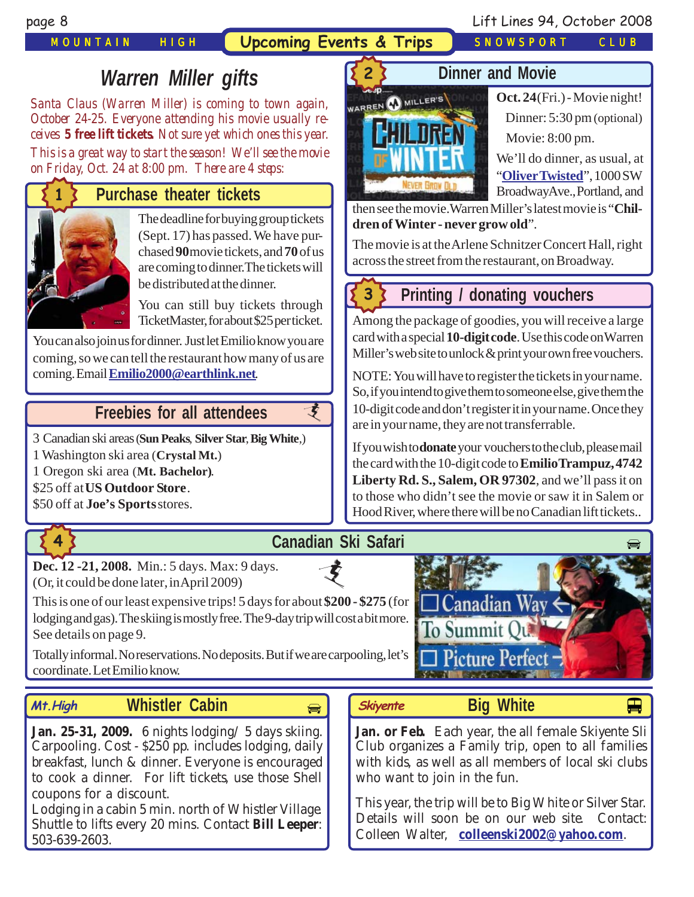*MOUNTAIN HIGH* **Upcoming Events & Trips** *SNOWSPORT CLUB*

**2**

page 8 Lift Lines 94, October 2008

# *Warren Miller gifts*

*Santa Claus (Warren Miller) is coming to town again, October 24-25. Everyone attending his movie usually receives 5 free lift tickets. Not sure yet which ones this year. This is a great way to start the season! We'll see the movie on Friday, Oct. 24 at 8:00 pm. There are 4 steps:*

# **Purchase theater tickets**



### The deadline for buying group tickets (Sept. 17) has passed. We have purchased **90** movie tickets, and **70** of us are coming to dinner.The tickets will be distributed at the dinner.

You can still buy tickets through TicketMaster, for about \$25 per ticket.

You can also join us for dinner. Just let Emilio know you are coming, so we can tell the restaurant how many of us are coming. Email **[Emilio2000@earthlink.net](mailto:Emilio2000@earthlink.net)**.

# **Freebies [for all attendees](http://beavercreek.snow.com/winterhome.asp)**

[3 Canadian ski areas](http://beavercreek.snow.com/winterhome.asp) (**Sun Peaks**, **Silver Star**, **Big White**,)

1 Washington ski area (**Crystal Mt.**)

1 Oregon ski area (**Mt. Bachelor)**.

\$25 off at **US Outdoor Store**.

\$50 off at **Joe's Sports** stores.



# **Canadian Ski Safari**

 $\vec{\bm{\zeta}}$ 

支

**[Dec. 12 -21, 2008.](http://beavercreek.snow.com/winterhome.asp)** Min.: 5 days. Max: 9 days. (Or, it could be done later, in April 2009)

This is one of our least expensive trips! 5 days for about \$200 - \$275 (for  $\Box$  Canadian Way lodging and gas). The skiing is mostly free. The 9-day trip will cost a bit more. See details on page 9.

Totally informal. No reservations. No deposits. But if we are carpooling, let's coordinate. Let Emilio know.

### **Whistler Cabin Skiyente Mt.High** Whistler Cabin **Algeria** *Skiyente* Big White **Big White**

**Jan. 25-31, 2009.** [6 nights lodging/ 5 days](http://beavercreek.snow.com/winterhome.asp) skiing. Carpooling. Cost - \$250 pp. includes lodging, daily breakfast, lunch & dinner. Everyone is encouraged to cook a dinner. For lift tickets, use those Shell coupons for a discount.

Lodging in a cabin 5 min. north of Whistler Village. Shuttle to lifts every 20 mins. Contact **Bill Leeper**: 503-639-2603.

# **Dinner and Movie**



**Oct. 24** (Fri.) - Movie night! Dinner: 5:30 pm (optional) Movie: 8:00 pm.

We'll do dinner, as usual, at "**[OliverTwisted](http://www.oliversdowntown.com/)**", 1000 SW Broadway Ave., Portland, and

then see the movie.Warren Miller's latest movie is "**Children of Winter - never grow old**".

The movie is at the Arlene Schnitzer Concert Hall, right across the street from the restaurant, on Broadway.

# **3**

# **Printing / donating voucher[s](http://beavercreek.snow.com/winterhome.asp)**

[Among the package of goodies, you will receive a large](http://beavercreek.snow.com/winterhome.asp) card with a special **10-digit code**. Use this code on Warren Miller's web site to unlock & print your own free vouchers.

NOTE: You will have to register the tickets in your name. So, if you intend to give them to someone else, give them the 10-digit code and don't register it in your name. Once they are in your name, they are not transferrable.

If you wish to **donate** your vouchers to the club, please mail the card with the 10-digit code to **Emilio Trampuz, 4742 Liberty Rd. S., Salem, OR 97302**, and we'll pass it on to those who didn't see the movie or saw it in Salem or Hood River, where there will be no Canadian lift tickets..





**Jan. or Feb.** [Each year, the all female Skiyente](http://beavercreek.snow.com/winterhome.asp) Sli Club organizes a Family trip, open to all families with kids, as well as all members of local ski clubs who want to join in the fun.

This year, the trip will be to Big White or Silver Star. Details will soon be on our web site. Contact: Colleen Walter, **[colleenski2002@yahoo.com](mailto:colleenski2002@yahoo.com)**.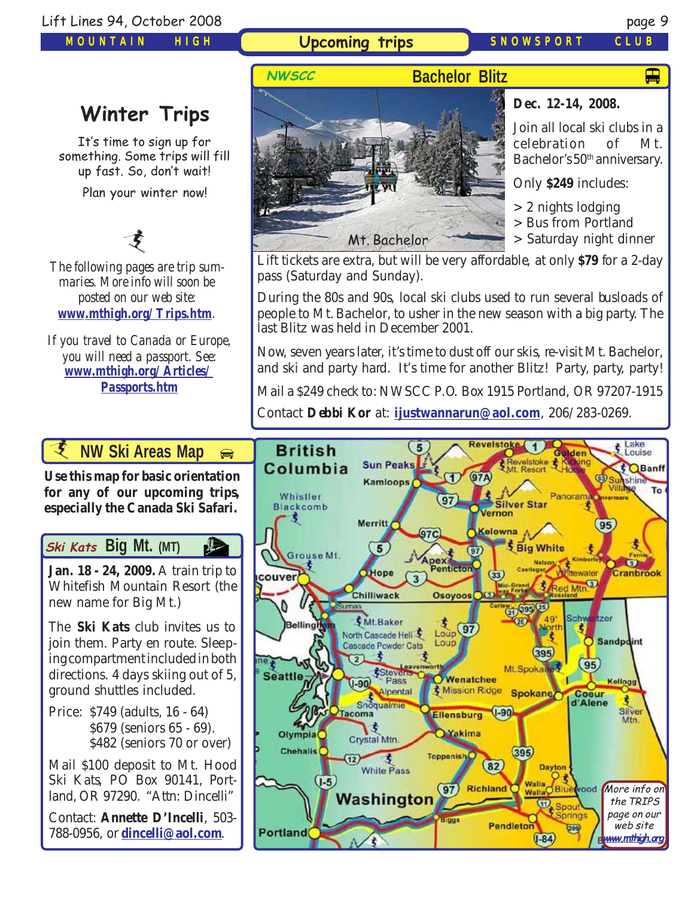*MOUNTAIN HIGH*

## **Upcoming trips** *SNOWSPORT CLUB*

# $\blacksquare$

# **Winter Trips**

It's time to sign up for something. Some trips will fill up fast. So, don't wait! Plan your winter now!

支

*The following pages are trip summaries. More info will soon be posted on our web site: [www.mthigh.org/Trips.htm](http://www.mthigh.org/Trips.htm).*

*If you travel to Canada or Europe, you will need a passport. See: [www.mthigh.org/Articles/](http://www.mthigh.org/Articles/Passports.htm) [Passports.htm](http://www.mthigh.org/Articles/Passports.htm)*

**Bachelor Blitz NWSCC** Mt. Bachelor

**Dec. 12-14, 2008.**

Join all local ski clubs in a celebration of Mt. Bachelor's 50<sup>th</sup> anniversary.

Only **\$249** includes:

> 2 nights lodging

> Bus from Portland

> Saturday night dinner

Lift tickets are extra, but will be very affordable, at only **\$79** for a 2-day pass (Saturday and Sunday).

During the 80s and 90s, local ski clubs used to run several busloads of people to Mt. Bachelor, to usher in the new season with a big party. The last Blitz was held in December 2001.

Now, seven years later, it's time to dust off our skis, re-visit Mt. Bachelor, and ski and party hard. It's time for another Blitz! Party, party, party!

Mail a \$249 check to: NWSCC P.O. Box 1915 Portland, OR 97207-1915

Contact **Debbi Kor** at: **[ijustwannarun@aol.com](mailto:Ijustwannarun1@comcast.net)**, 206/283-0269.



*I* NW Ski Areas Ma[p](http://beavercreek.snow.com/winterhome.asp)

**[Use this map for basic orientation](http://beavercreek.snow.com/winterhome.asp) for any of our upcoming trips, [especially the Canada Ski Safari.](http://beavercreek.snow.com/winterhome.asp)** 

# **Big Mt.** (MT)

**[Jan. 18 - 24, 2009.](http://beavercreek.snow.com/winterhome.asp)** [A train trip to](http://beavercreek.snow.com/winterhome.asp) Whitefish Mountain Resort (the new name for Big Mt.)

The **Ski Kats** club invites us to join them. Party en route. Sleeping compartment included in both directions. 4 days skiing out of 5, ground shuttles included.

Price: \$749 (adults, 16 - 64) \$679 (seniors 65 - 69). \$482 (seniors 70 or over)

Mail \$100 deposit to Mt. Hood Ski Kats, PO Box 90141, Portland, OR 97290. "Attn: Dincelli"

Contact: **Annette D'Incelli**, 503- 788-0956, or **[dincelli@aol.com](mailto:dincelli@aol.com)**.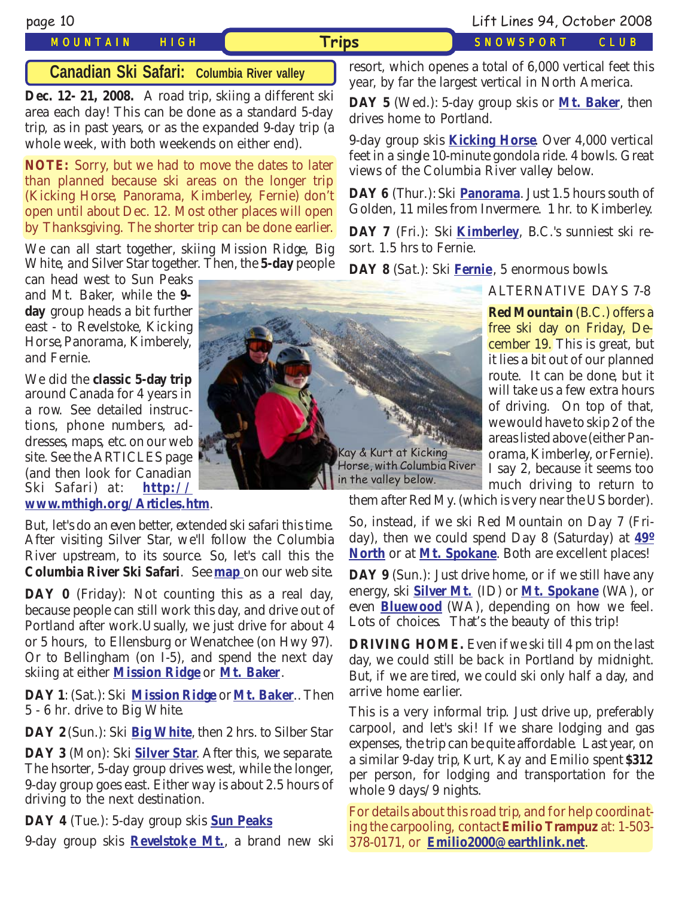## *MOUNTAIN HIGH* **Trips** *SNOWSPORT CLUB*

page 10 Lift Lines 94, October 2008

## **Canadian Ski Safari: Columbia River valley**

**Dec. 12- 21, 2008.** A road trip, skiing a different ski area each day! This can be done as a standard 5-day trip, as in past years, or as the expanded 9-day trip (a whole week, with both weekends on either end).

**NOTE:** Sorry, but we had to move the dates to later than planned because ski areas on the longer trip (Kicking Horse, Panorama, Kimberley, Fernie) don't open until about Dec. 12. Most other places will open by Thanksgiving. The shorter trip can be done earlier.

We can all start together, skiing Mission Ridge, Big White, and Silver Star together. Then, the **5-day** people

can head west to Sun Peaks and Mt. Baker, while the **9 day** group heads a bit further east - to Revelstoke, Kicking Horse, Panorama, Kimberely, and Fernie.

We did the **classic 5-day trip** around Canada for 4 years in a row. See detailed instructions, phone numbers, addresses, maps, etc. on our web site. See the ARTICLES page (and then look for Canadian Ski Safari) at: **[http://](http://www.mthigh.org/Articles.htm) [www.mthigh.org/Articles.htm](http://www.mthigh.org/Articles.htm)**.

But, let's do an even better, extended ski safari this time. After visiting Silver Star, we'll follow the Columbia River upstream, to its source. So, let's call this the **Columbia River Ski Safari**. See **[map](http://www.mthigh.org/Trips/Map-NW-Ski-Safaris-w.jpg)** on our web site.

DAY 0 (Friday): Not counting this as a real day, because people can still work this day, and drive out of Portland after work.Usually, we just drive for about 4 or 5 hours, to Ellensburg or Wenatchee (on Hwy 97). Or to Bellingham (on I-5), and spend the next day skiing at either **[Mission Ridge](http://www.missionridge.com/)** or **[Mt. Baker](http://www.mtbaker.us/)**.

**DAY 1**: (Sat.): Ski **[Mission Ridge](http://www.missionridge.com/)** or **[Mt. Baker](http://www.mtbaker.us/)**.. Then 5 - 6 hr. drive to Big White.

**DAY 2** (Sun.): Ski **[Big White](http://www.bigwhite.com/)**, then 2 hrs. to Silber Star

**DAY 3** (Mon): Ski **[Silver Star](http://www.skisilverstar.com/)**. After this, we separate. The hsorter, 5-day group drives west, while the longer, 9-day group goes east. Either way is about 2.5 hours of driving to the next destination.

**DAY 4** (Tue.): 5-day group skis **[Sun Peaks](http://www.sunpeaksresort.com/)**

9-day group skis **[Revelstoke Mt.](http://www.discoverrevelstoke.com/)**, a brand new ski



resort, which openes a total of 6,000 vertical feet this year, by far the largest vertical in North America.

**DAY 5** (Wed.): 5-day group skis or **[Mt. Baker](http://www.mtbaker.us/)**, then drives home to Portland.

9-day group skis **[Kicking Horse](http://www.kickinghorseresort.com/winter/)**. Over 4,000 vertical feet in a single 10-minute gondola ride. 4 bowls. Great views of the Columbia River valley below.

**DAY 6** (Thur.): Ski **[Panorama](http://www.panoramaresort.com/index.htm)**. Just 1.5 hours south of Golden, 11 miles from Invermere. 1 hr. to Kimberley.

**DAY 7** (Fri.): Ski **[Kimberley](http://www.skikimberley.com/)**, B.C.'s sunniest ski resort. 1.5 hrs to Fernie.

**DAY 8** (Sat.): Ski **[Fernie](http://www.skifernie.com/the-mountain.aspx)**, 5 enormous bowls.

ALTERNATIVE DAYS 7-8

cember 19. This is great, but it lies a bit out of our planned **Red Mountain** (B.C.) offers a free ski day on Friday, Deroute. It can be done, but it will take us a few extra hours of driving. On top of that, we would have to skip 2 of the areas listed above (either Panorama, Kimberley, or Fernie). I say 2, because it seems too much driving to return to

them after Red My. (which is very near the US border).

So, instead, if we ski Red Mountain on Day 7 (Friday), then we could spend Day 8 (Saturday) at **[49º](http://www.ski49n.com/) [North](http://www.ski49n.com/)** or at **[Mt. Spokane](http://www.mtspokane.com/)**. Both are excellent places!

**DAY 9** (Sun.): Just drive home, or if we still have any energy, ski **[Silver Mt.](http://www.silvermt.com/)** (ID) or **[Mt. Spokane](http://www.mtspokane.com/)** (WA), or even **[Bluewood](http://www.bluewood.com/)** (WA), depending on how we feel. Lots of choices. That's the beauty of this trip!

**DRIVING HOME.** Even if we ski till 4 pm on the last day, we could still be back in Portland by midnight. But, if we are tired, we could ski only half a day, and arrive home earlier.

This is a very informal trip. Just drive up, preferably carpool, and let's ski! If we share lodging and gas expenses, the trip can be quite affordable. Last year, on a similar 9-day trip, Kurt, Kay and Emilio spent **\$312** per person, for lodging and transportation for the whole 9 days/9 nights.

For details about this road trip, and for help coordinating the carpooling, contact **Emilio Trampuz** at: 1-503- 378-0171, or **[Emilio2000@earthlink.net](mailto:Emilio2000@earthlink.net)**.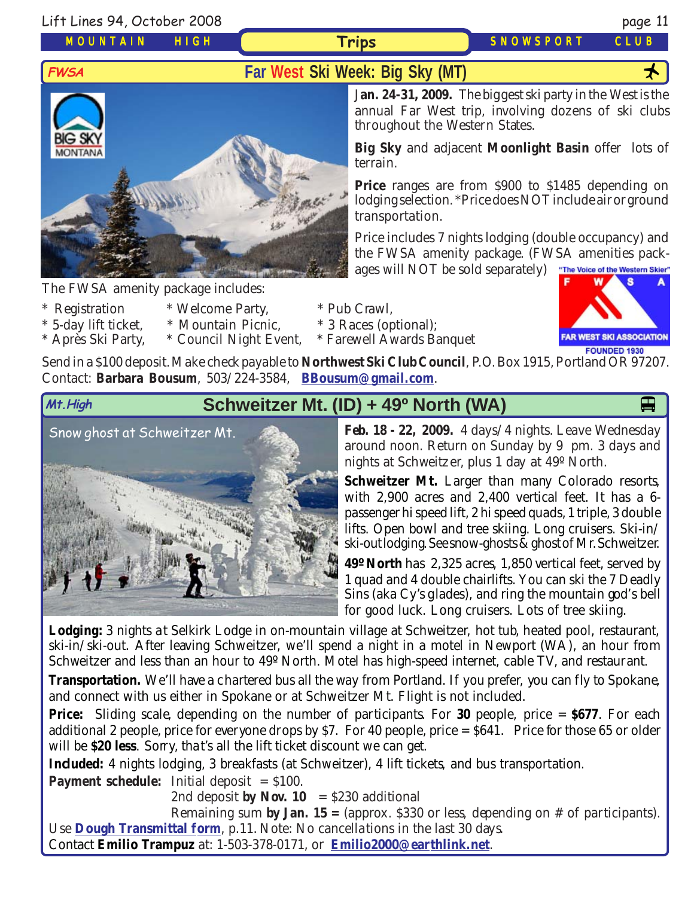Lift Lines 94, October 2008 page 11

*MOUNTAIN HIGH*

**Trips** *SNOWSPORT CLUB*

# **FWSA Far West Ski Week: Big Sky (MT)**



The FWSA amenity package includes:

- 
- \* Registration \* Welcome Party, \* Pub Crawl,
- \* 5-day lift ticket, \* Mountain Picnic, \* 3 Races (optional);
- \* Après Ski Party, \* Council Night Event, \* Farewell Awards Banquet

J**an. 24-31, 2009.** The biggest ski party in the West is the annual Far West trip, involving dozens of ski clubs throughout the Western States.

**Big Sky** and adjacent **Moonlight Basin** offer lots of terrain.

**Price** ranges are from \$900 to \$1485 depending on lodging selection. \*Price does NOT include air or ground transportation.

Price includes 7 nights lodging (double occupancy) and the FWSA amenity package. (FWSA amenities packages will NOT be sold separately) "The Voice of the Western Skier"

**FAR WEST SKI ASSOCIATION** 

FOUNDED 1930 Send in a \$100 deposit. Make check payable to **Northwest Ski Club Council**, P.O. Box 1915, Portland OR 97207. Contact: **Barbara Bousum**, 503/224-3584, **[BBousum@gmail.com](mailto:BBousum@gmail.com)**.

# **Schweitzer Mt. (ID) + 49<sup>o</sup> North (WA)**

Snow ghost at Schweitzer Mt.



**Feb. 18 - 22, 2009.** 4 days/4 nights. Leave Wednesday around noon. Return on Sunday by 9 pm. 3 days and nights at Schweitzer, plus 1 day at 49º North.

Schweitzer Mt. Larger than many Colorado resorts, with 2,900 acres and 2,400 vertical feet. It has a 6 passenger hi speed lift, 2 hi speed quads, 1 triple, 3 double lifts. Open bowl and tree skiing. Long cruisers. Ski-in/ ski-out lodging. See snow-ghosts & ghost of Mr. Schweitzer.

**49º North** has 2,325 acres, 1,850 vertical feet, served by 1 quad and 4 double chairlifts. You can ski the 7 Deadly Sins (aka Cy's glades), and ring the mountain god's bell for good luck. Long cruisers. Lots of tree skiing.

**Lodging:** 3 nights at Selkirk Lodge in on-mountain village at Schweitzer, hot tub, heated pool, restaurant, ski-in/ski-out. After leaving Schweitzer, we'll spend a night in a motel in Newport (WA), an hour from Schweitzer and less than an hour to 49º North. Motel has high-speed internet, cable TV, and restaurant.

**Transportation.** We'll have a chartered bus all the way from Portland. If you prefer, you can fly to Spokane, and connect with us either in Spokane or at Schweitzer Mt. Flight is not included.

**Price:** Sliding scale, depending on the number of participants. For 30 people, price = \$677. For each additional 2 people, price for everyone drops by \$7. For 40 people, price  $= $641$ . Price for those 65 or older will be **\$20 less**. Sorry, that's all the lift ticket discount we can get.

**Included:** 4 nights lodging, 3 breakfasts (at Schweitzer), 4 lift tickets, and bus transportation.

**Payment schedule:** Initial deposit  $= $100$ .

2nd deposit **by Nov. 10** =  $$230$  additional

Remaining sum **by Jan. 15 =** (approx. \$330 or less, depending on # of participants). Use **[Dough Transmittal form](http://www.mthigh.org/Documents/DOUGH%20TRANSMITTAL%20FORM.pdf)**, p.11. Note: No cancellations in the last 30 days.

Contact **Emilio Trampuz** at: 1-503-378-0171, or **[Emilio2000@earthlink.net](mailto:Emilio2000@earthlink.net)**.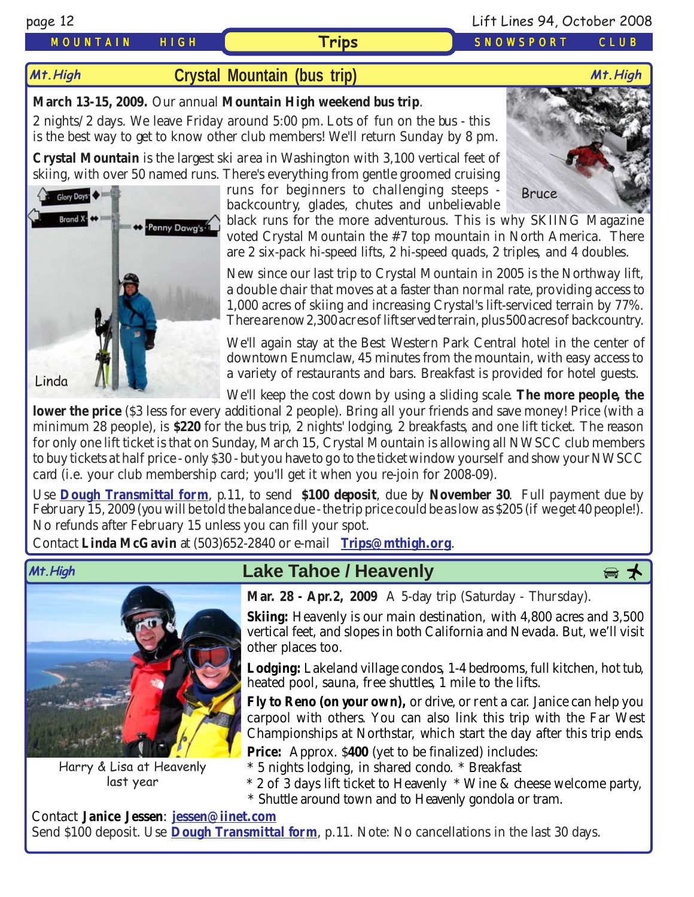## *MOUNTAIN HIGH* **Trips** *SNOWSPORT CLUB*

### page 12 Lift Lines 94, October 2008

# **[Crystal Mountain \(bus trip\)](http://www.crystalmt.com/) Mt.High Mt.High**

## **March 13-15, 2009.** Our annual **Mountain High weekend bus trip**.

2 nights/2 days. We leave Friday around 5:00 pm. Lots of fun on the bus - this is the best way to get to know other club members! We'll return Sunday by 8 pm.

**Crystal Mountain** is the largest ski area in Washington with 3,100 vertical feet of skiing, with over 50 named runs. There's everything from gentle groomed cruising

runs for beginners to challenging steeps backcountry, glades, chutes and unbelievable

black runs for the more adventurous. This is why SKIING Magazine voted Crystal Mountain the #7 top mountain in North America. There are 2 six-pack hi-speed lifts, 2 hi-speed quads, 2 triples, and 4 doubles.

New since our last trip to Crystal Mountain in 2005 is the Northway lift, a double chair that moves at a faster than normal rate, providing access to 1,000 acres of skiing and increasing Crystal's lift-serviced terrain by 77%. There are now 2,300 acres of lift served terrain, plus 500 acres of backcountry.

We'll again stay at the Best Western Park Central hotel in the center of downtown Enumclaw, 45 minutes from the mountain, with easy access to a variety of restaurants and bars. Breakfast is provided for hotel guests.

We'll keep the cost down by using a sliding scale. **The more people, the**

**lower the price** (\$3 less for every additional 2 people). Bring all your friends and save money! Price (with a minimum 28 people), is **\$220** for the bus trip, 2 nights' lodging, 2 breakfasts, and one lift ticket. The reason for only one lift ticket is that on Sunday, March 15, Crystal Mountain is allowing all NWSCC club members to buy tickets at half price - only \$30 - but you have to go to the ticket window yourself and show your NWSCC card (i.e. your club membership card; you'll get it when you re-join for 2008-09).

Use **[Dough Transmittal form](http://www.mthigh.org/Documents/DOUGH%20TRANSMITTAL%20FORM.pdf)**, p.11, to send **\$100 deposit**, due by **November 30**. Full payment due by February 15, 2009 (you will be told the balance due - the trip price could be as low as \$205 (if we get 40 people!). No refunds after February 15 unless you can fill your spot.

Contact **Linda McGavin** at (503)652-2840 or e-mail **[Trips@mthigh.org](mailto:Trips@mthigh.org)**.



Harry & Lisa at Heavenly last year

# **Lake Tahoe / Heavenly Mt.High** pÓ



**Mar. 28 - Apr.2, 2009** A 5-day trip (Saturday - Thursday).

**Skiing:** Heavenly is our main destination, with 4,800 acres and 3,500 vertical feet, and slopes in both California and Nevada. But, we'll visit other places too.

**Lodging:** Lakeland village condos, 1-4 bedrooms, full kitchen, hot tub, heated pool, sauna, free shuttles, 1 mile to the lifts.

**Fly to Reno (on your own),** or drive, or rent a car. Janice can help you carpool with others. You can also link this trip with the Far West Championships at Northstar, which start the day after this trip ends.

**Price:** Approx. \$400 (yet to be finalized) includes:

\* 5 nights lodging, in shared condo. \* Breakfast

- \* 2 of 3 days lift ticket to Heavenly \* Wine & cheese welcome party,
- \* Shuttle around town and to Heavenly gondola or tram.

Contact **Janice Jessen**: **[jessen@iinet.com](mailto:jessen@iinet.com)** Send \$100 deposit. Use **[Dough Transmittal form](http://www.mthigh.org/Documents/DOUGH%20TRANSMITTAL%20FORM.pdf)**, p.11. Note: No cancellations in the last 30 days.



Bruce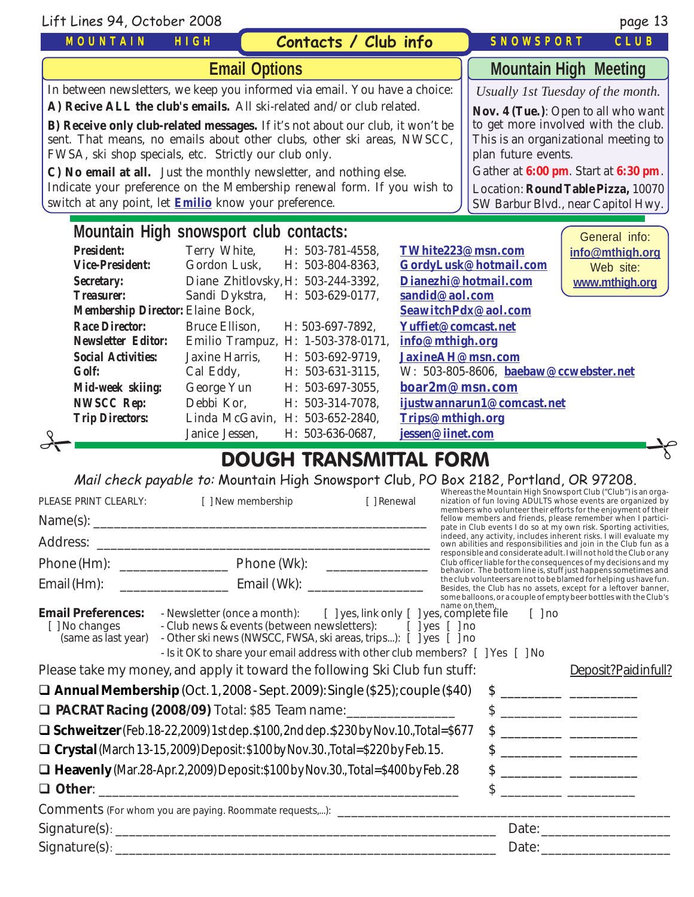| Lift Lines 94, October 2008                                                                                                                                                                                                                                                                                                                                                                                                                                                                                                                                                                                                                                                                                                                                                                                                                                                                                             |                                                                                           | page 13                                                |                                                            |                                                           |                 |  |  |  |  |
|-------------------------------------------------------------------------------------------------------------------------------------------------------------------------------------------------------------------------------------------------------------------------------------------------------------------------------------------------------------------------------------------------------------------------------------------------------------------------------------------------------------------------------------------------------------------------------------------------------------------------------------------------------------------------------------------------------------------------------------------------------------------------------------------------------------------------------------------------------------------------------------------------------------------------|-------------------------------------------------------------------------------------------|--------------------------------------------------------|------------------------------------------------------------|-----------------------------------------------------------|-----------------|--|--|--|--|
| <b>MOUNTAIN</b>                                                                                                                                                                                                                                                                                                                                                                                                                                                                                                                                                                                                                                                                                                                                                                                                                                                                                                         | HIGH                                                                                      | Contacts / Club info                                   |                                                            | SNOWSPORT                                                 | CLUB            |  |  |  |  |
|                                                                                                                                                                                                                                                                                                                                                                                                                                                                                                                                                                                                                                                                                                                                                                                                                                                                                                                         |                                                                                           | <b>Mountain High Meeting</b>                           |                                                            |                                                           |                 |  |  |  |  |
| <b>Email Options</b><br>In between newsletters, we keep you informed via email. You have a choice:<br>Usually 1st Tuesday of the month.<br>A) Recive ALL the club's emails. All ski-related and/or club related.<br>Nov. 4 (Tue.): Open to all who want<br>to get more involved with the club.<br>B) Receive only club-related messages. If it's not about our club, it won't be<br>sent. That means, no emails about other clubs, other ski areas, NWSCC,<br>This is an organizational meeting to<br>FWSA, ski shop specials, etc. Strictly our club only.<br>plan future events.<br>Gather at 6:00 pm. Start at 6:30 pm.<br>C) No email at all. Just the monthly newsletter, and nothing else.<br>Indicate your preference on the Membership renewal form. If you wish to<br>Location: Round Table Pizza, 10070<br>switch at any point, let <b>Emilio</b> know your preference.<br>SW Barbur Blvd., near Capitol Hwy. |                                                                                           |                                                        |                                                            |                                                           |                 |  |  |  |  |
| Mountain High snowsport club contacts:<br>General info:                                                                                                                                                                                                                                                                                                                                                                                                                                                                                                                                                                                                                                                                                                                                                                                                                                                                 |                                                                                           |                                                        |                                                            |                                                           |                 |  |  |  |  |
| <i><b>Vice-President:</b></i>                                                                                                                                                                                                                                                                                                                                                                                                                                                                                                                                                                                                                                                                                                                                                                                                                                                                                           | <b>President:</b><br>Terry White,<br>H: 503-781-4558,<br>Gordon Lusk.<br>H: 503-804-8363, |                                                        | TWhite223@msn.com                                          |                                                           | info@mthigh.org |  |  |  |  |
| Secretary:                                                                                                                                                                                                                                                                                                                                                                                                                                                                                                                                                                                                                                                                                                                                                                                                                                                                                                              |                                                                                           | Diane Zhitlovsky, H: 503-244-3392,                     | GordyLusk@hotmail.com<br>Web site:<br>Dianezhi@hotmail.com |                                                           | www.mthigh.org  |  |  |  |  |
| <b>Treasurer:</b>                                                                                                                                                                                                                                                                                                                                                                                                                                                                                                                                                                                                                                                                                                                                                                                                                                                                                                       | Sandi Dykstra,                                                                            | H: 503-629-0177,                                       |                                                            | sandid@aol.com                                            |                 |  |  |  |  |
| <b>Membership Director: Elaine Bock,</b>                                                                                                                                                                                                                                                                                                                                                                                                                                                                                                                                                                                                                                                                                                                                                                                                                                                                                | SeawitchPdx@aol.com                                                                       |                                                        |                                                            |                                                           |                 |  |  |  |  |
| <b>Race Director:</b><br><b>Newsletter Editor:</b>                                                                                                                                                                                                                                                                                                                                                                                                                                                                                                                                                                                                                                                                                                                                                                                                                                                                      | Bruce Ellison.                                                                            | H: 503-697-7892.<br>Emilio Trampuz, H: 1-503-378-0171, |                                                            | Yuffiet@comcast.net<br>info@mthigh.org                    |                 |  |  |  |  |
| <b>Social Activities:</b><br><b>Golf:</b>                                                                                                                                                                                                                                                                                                                                                                                                                                                                                                                                                                                                                                                                                                                                                                                                                                                                               | Jaxine Harris.<br>Cal Eddy,                                                               | H: 503-692-9719,<br>H: 503-631-3115,                   |                                                            | JaxineAH@msn.com<br>W: 503-805-8606, baebaw@ccwebster.net |                 |  |  |  |  |
| Mid-week skiing:                                                                                                                                                                                                                                                                                                                                                                                                                                                                                                                                                                                                                                                                                                                                                                                                                                                                                                        | George Yun                                                                                | H: 503-697-3055,                                       |                                                            | boar2m@msn.com                                            |                 |  |  |  |  |
| <b>NWSCC Rep:</b>                                                                                                                                                                                                                                                                                                                                                                                                                                                                                                                                                                                                                                                                                                                                                                                                                                                                                                       | Debbi Kor.                                                                                | H: 503-314-7078,                                       |                                                            | ijustwannarun1@comcast.net                                |                 |  |  |  |  |
| <b>Trip Directors:</b>                                                                                                                                                                                                                                                                                                                                                                                                                                                                                                                                                                                                                                                                                                                                                                                                                                                                                                  |                                                                                           | Linda McGavin, H: 503-652-2840,                        |                                                            | Trips@mthigh.org                                          |                 |  |  |  |  |
|                                                                                                                                                                                                                                                                                                                                                                                                                                                                                                                                                                                                                                                                                                                                                                                                                                                                                                                         | Janice Jessen,                                                                            | H: 503-636-0687,                                       | jessen@iinet.com                                           |                                                           |                 |  |  |  |  |
| DOLICLI TOANICAAITTAI EODAA                                                                                                                                                                                                                                                                                                                                                                                                                                                                                                                                                                                                                                                                                                                                                                                                                                                                                             |                                                                                           |                                                        |                                                            |                                                           |                 |  |  |  |  |

# DOUGH TRANSMITTAL FORM

Mail check payable to: Mountain High Snowsport Club, PO Box 2182, Portland, OR 97208.

| [ ] New membership                                                                        | [ ] Renewal |                                                                                  |                                                                                                                                                                                                               |                                                                                |                                                                                                                                                                                                                                                                                                                                                                                                                                                                                                                                                                                                                                                                                                                                                                                                                                                                                                                                                                                                                                                                     |
|-------------------------------------------------------------------------------------------|-------------|----------------------------------------------------------------------------------|---------------------------------------------------------------------------------------------------------------------------------------------------------------------------------------------------------------|--------------------------------------------------------------------------------|---------------------------------------------------------------------------------------------------------------------------------------------------------------------------------------------------------------------------------------------------------------------------------------------------------------------------------------------------------------------------------------------------------------------------------------------------------------------------------------------------------------------------------------------------------------------------------------------------------------------------------------------------------------------------------------------------------------------------------------------------------------------------------------------------------------------------------------------------------------------------------------------------------------------------------------------------------------------------------------------------------------------------------------------------------------------|
|                                                                                           |             |                                                                                  |                                                                                                                                                                                                               |                                                                                |                                                                                                                                                                                                                                                                                                                                                                                                                                                                                                                                                                                                                                                                                                                                                                                                                                                                                                                                                                                                                                                                     |
|                                                                                           |             |                                                                                  |                                                                                                                                                                                                               |                                                                                |                                                                                                                                                                                                                                                                                                                                                                                                                                                                                                                                                                                                                                                                                                                                                                                                                                                                                                                                                                                                                                                                     |
|                                                                                           |             |                                                                                  |                                                                                                                                                                                                               |                                                                                |                                                                                                                                                                                                                                                                                                                                                                                                                                                                                                                                                                                                                                                                                                                                                                                                                                                                                                                                                                                                                                                                     |
|                                                                                           |             |                                                                                  |                                                                                                                                                                                                               |                                                                                |                                                                                                                                                                                                                                                                                                                                                                                                                                                                                                                                                                                                                                                                                                                                                                                                                                                                                                                                                                                                                                                                     |
|                                                                                           |             |                                                                                  |                                                                                                                                                                                                               |                                                                                |                                                                                                                                                                                                                                                                                                                                                                                                                                                                                                                                                                                                                                                                                                                                                                                                                                                                                                                                                                                                                                                                     |
|                                                                                           |             |                                                                                  |                                                                                                                                                                                                               |                                                                                | Deposit?Paidinfull?                                                                                                                                                                                                                                                                                                                                                                                                                                                                                                                                                                                                                                                                                                                                                                                                                                                                                                                                                                                                                                                 |
| $\Box$ Annual Membership (Oct. 1, 2008 - Sept. 2009): Single (\$25); couple (\$40)        |             |                                                                                  |                                                                                                                                                                                                               |                                                                                |                                                                                                                                                                                                                                                                                                                                                                                                                                                                                                                                                                                                                                                                                                                                                                                                                                                                                                                                                                                                                                                                     |
| <b>D</b> PACRAT Racing (2008/09) Total: \$85 Team name: __________________                |             |                                                                                  |                                                                                                                                                                                                               |                                                                                | $\frac{1}{2}$ $\frac{1}{2}$ $\frac{1}{2}$ $\frac{1}{2}$ $\frac{1}{2}$ $\frac{1}{2}$ $\frac{1}{2}$ $\frac{1}{2}$ $\frac{1}{2}$ $\frac{1}{2}$ $\frac{1}{2}$ $\frac{1}{2}$ $\frac{1}{2}$ $\frac{1}{2}$ $\frac{1}{2}$ $\frac{1}{2}$ $\frac{1}{2}$ $\frac{1}{2}$ $\frac{1}{2}$ $\frac{1}{2}$ $\frac{1}{2}$ $\frac{1}{2}$                                                                                                                                                                                                                                                                                                                                                                                                                                                                                                                                                                                                                                                                                                                                                 |
| $\Box$ Schweitzer (Feb.18-22,2009) 1st dep. \$100, 2nd dep. \$230 by Nov.10., Total=\$677 |             |                                                                                  |                                                                                                                                                                                                               |                                                                                |                                                                                                                                                                                                                                                                                                                                                                                                                                                                                                                                                                                                                                                                                                                                                                                                                                                                                                                                                                                                                                                                     |
| $\Box$ Crystal (March 13-15, 2009) Deposit: \$100 by Nov.30., Total=\$220 by Feb. 15.     |             |                                                                                  |                                                                                                                                                                                                               |                                                                                |                                                                                                                                                                                                                                                                                                                                                                                                                                                                                                                                                                                                                                                                                                                                                                                                                                                                                                                                                                                                                                                                     |
| □ Heavenly (Mar.28-Apr.2,2009) Deposit: \$100 by Nov.30., Total=\$400 by Feb.28           |             |                                                                                  |                                                                                                                                                                                                               |                                                                                |                                                                                                                                                                                                                                                                                                                                                                                                                                                                                                                                                                                                                                                                                                                                                                                                                                                                                                                                                                                                                                                                     |
|                                                                                           |             |                                                                                  |                                                                                                                                                                                                               |                                                                                | <u> 1989 - Johann Barn, mars ann an t-A</u>                                                                                                                                                                                                                                                                                                                                                                                                                                                                                                                                                                                                                                                                                                                                                                                                                                                                                                                                                                                                                         |
|                                                                                           |             |                                                                                  |                                                                                                                                                                                                               |                                                                                |                                                                                                                                                                                                                                                                                                                                                                                                                                                                                                                                                                                                                                                                                                                                                                                                                                                                                                                                                                                                                                                                     |
|                                                                                           |             |                                                                                  |                                                                                                                                                                                                               |                                                                                | Date: <u>_____________________</u>                                                                                                                                                                                                                                                                                                                                                                                                                                                                                                                                                                                                                                                                                                                                                                                                                                                                                                                                                                                                                                  |
|                                                                                           |             |                                                                                  |                                                                                                                                                                                                               |                                                                                |                                                                                                                                                                                                                                                                                                                                                                                                                                                                                                                                                                                                                                                                                                                                                                                                                                                                                                                                                                                                                                                                     |
|                                                                                           |             | Email (Hm): __________________________________ Email (Wk): _____________________ | - Club news & events (between newsletters): [ ] yes [ ] no<br>- Other ski news (NWSCC, FWSA, ski areas, trips): [ ] yes [ ] no<br>Please take my money, and apply it toward the following Ski Club fun stuff: | Comments (For whom you are paying. Roommate requests,): ______________________ | Whereas the Mountain High Snowsport Club ("Club") is an orga-<br>nization of fun loving ADULTS whose events are organized by<br>members who volunteer their efforts for the enjoyment of their<br>fellow members and friends, please remember when I partici-<br>pate in Club events I do so at my own risk. Sporting activities,<br>indeed, any activity, includes inherent risks. I will evaluate my<br>own abilities and responsibilities and join in the Club fun as a<br>responsible and considerate adult. I will not hold the Club or any<br>Club officer liable for the consequences of my decisions and my<br>behavior. The bottom line is, stuff just happens sometimes and<br>the club volunteers are not to be blamed for helping us have fun.<br>Besides, the Club has no assets, except for a leftover banner,<br>some balloons, or a couple of empty beer bottles with the Club's<br>- Newsletter (once a month): [ ] yes, link only [ ] yes, complete file [ ] no<br>- Is it OK to share your email address with other club members? [ ] Yes [ ] No |